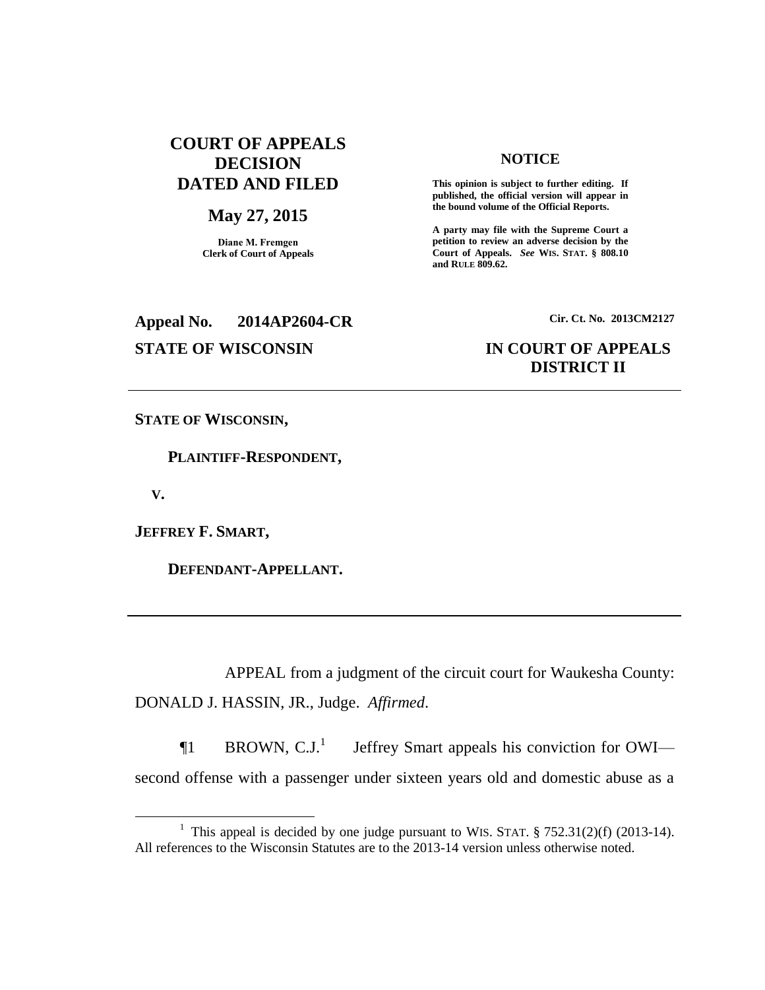# **COURT OF APPEALS DECISION DATED AND FILED**

## **May 27, 2015**

**Diane M. Fremgen Clerk of Court of Appeals**

## **NOTICE**

**This opinion is subject to further editing. If published, the official version will appear in the bound volume of the Official Reports.** 

**A party may file with the Supreme Court a petition to review an adverse decision by the Court of Appeals.** *See* **WIS. STAT. § 808.10 and RULE 809.62.** 

# **Appeal No. 2014AP2604-CR Cir. Ct. No. 2013CM2127**

# **STATE OF WISCONSIN IN COURT OF APPEALS DISTRICT II**

**STATE OF WISCONSIN,**

 **PLAINTIFF-RESPONDENT,**

 **V.**

 $\overline{a}$ 

**JEFFREY F. SMART,**

 **DEFENDANT-APPELLANT.**

APPEAL from a judgment of the circuit court for Waukesha County: DONALD J. HASSIN, JR., Judge. *Affirmed*.

 $\P1$  BROWN,  $C.J.<sup>1</sup>$  Jeffrey Smart appeals his conviction for OWI second offense with a passenger under sixteen years old and domestic abuse as a

<sup>&</sup>lt;sup>1</sup> This appeal is decided by one judge pursuant to WIS. STAT.  $\S 752.31(2)(f)$  (2013-14). All references to the Wisconsin Statutes are to the 2013-14 version unless otherwise noted.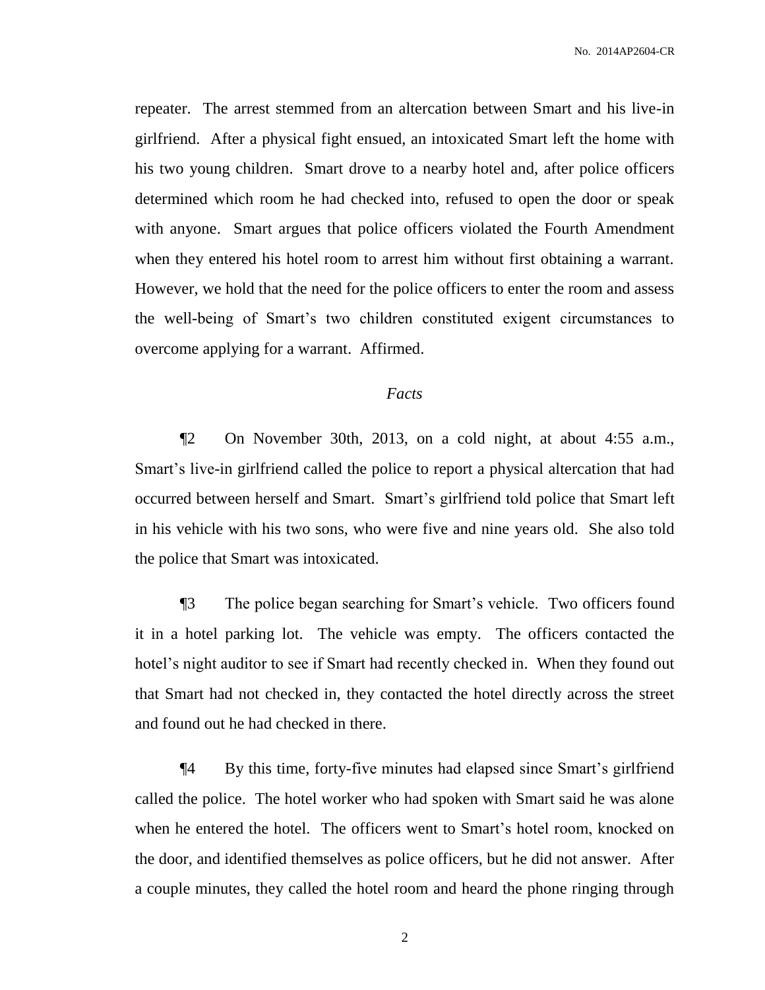No. 2014AP2604-CR

repeater. The arrest stemmed from an altercation between Smart and his live-in girlfriend. After a physical fight ensued, an intoxicated Smart left the home with his two young children. Smart drove to a nearby hotel and, after police officers determined which room he had checked into, refused to open the door or speak with anyone. Smart argues that police officers violated the Fourth Amendment when they entered his hotel room to arrest him without first obtaining a warrant. However, we hold that the need for the police officers to enter the room and assess the well-being of Smart's two children constituted exigent circumstances to overcome applying for a warrant. Affirmed.

# *Facts*

¶2 On November 30th, 2013, on a cold night, at about 4:55 a.m., Smart's live-in girlfriend called the police to report a physical altercation that had occurred between herself and Smart. Smart's girlfriend told police that Smart left in his vehicle with his two sons, who were five and nine years old. She also told the police that Smart was intoxicated.

¶3 The police began searching for Smart's vehicle. Two officers found it in a hotel parking lot. The vehicle was empty. The officers contacted the hotel's night auditor to see if Smart had recently checked in. When they found out that Smart had not checked in, they contacted the hotel directly across the street and found out he had checked in there.

¶4 By this time, forty-five minutes had elapsed since Smart's girlfriend called the police. The hotel worker who had spoken with Smart said he was alone when he entered the hotel. The officers went to Smart's hotel room, knocked on the door, and identified themselves as police officers, but he did not answer. After a couple minutes, they called the hotel room and heard the phone ringing through

2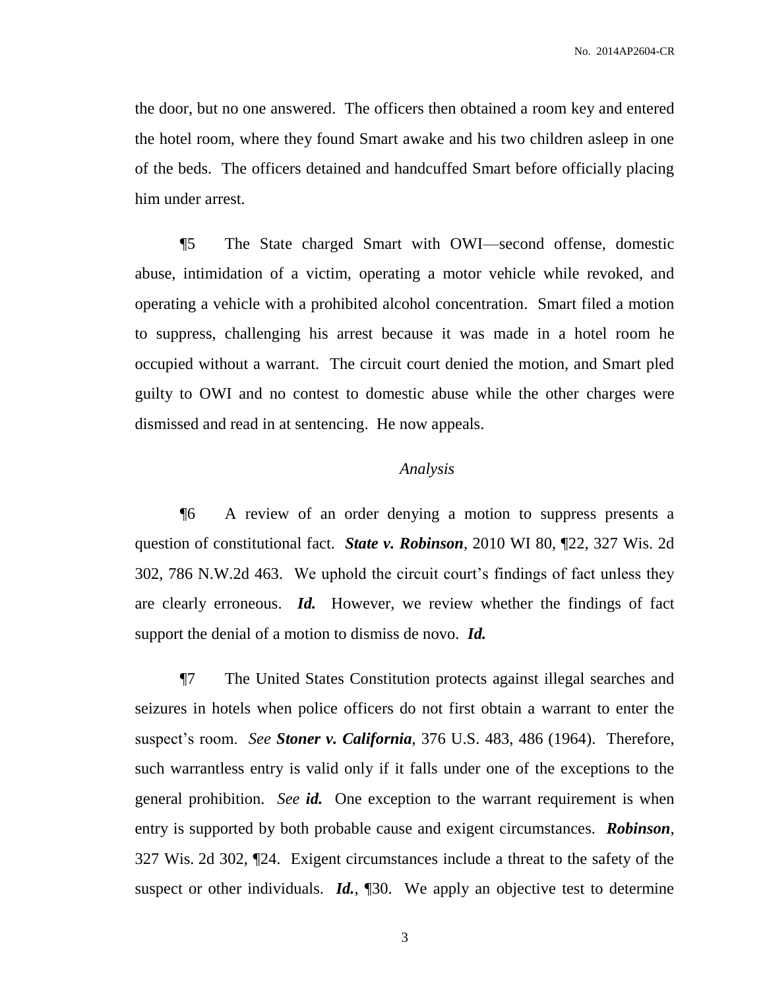the door, but no one answered. The officers then obtained a room key and entered the hotel room, where they found Smart awake and his two children asleep in one of the beds. The officers detained and handcuffed Smart before officially placing him under arrest.

¶5 The State charged Smart with OWI—second offense, domestic abuse, intimidation of a victim, operating a motor vehicle while revoked, and operating a vehicle with a prohibited alcohol concentration. Smart filed a motion to suppress, challenging his arrest because it was made in a hotel room he occupied without a warrant. The circuit court denied the motion, and Smart pled guilty to OWI and no contest to domestic abuse while the other charges were dismissed and read in at sentencing. He now appeals.

### *Analysis*

¶6 A review of an order denying a motion to suppress presents a question of constitutional fact. *State v. Robinson*, 2010 WI 80, ¶22, 327 Wis. 2d 302, 786 N.W.2d 463. We uphold the circuit court's findings of fact unless they are clearly erroneous. *Id.* However, we review whether the findings of fact support the denial of a motion to dismiss de novo. *Id.*

¶7 The United States Constitution protects against illegal searches and seizures in hotels when police officers do not first obtain a warrant to enter the suspect's room. *See Stoner v. California*, 376 U.S. 483, 486 (1964). Therefore, such warrantless entry is valid only if it falls under one of the exceptions to the general prohibition. *See id.* One exception to the warrant requirement is when entry is supported by both probable cause and exigent circumstances. *Robinson*, 327 Wis. 2d 302, ¶24. Exigent circumstances include a threat to the safety of the suspect or other individuals. *Id.*, ¶30. We apply an objective test to determine

3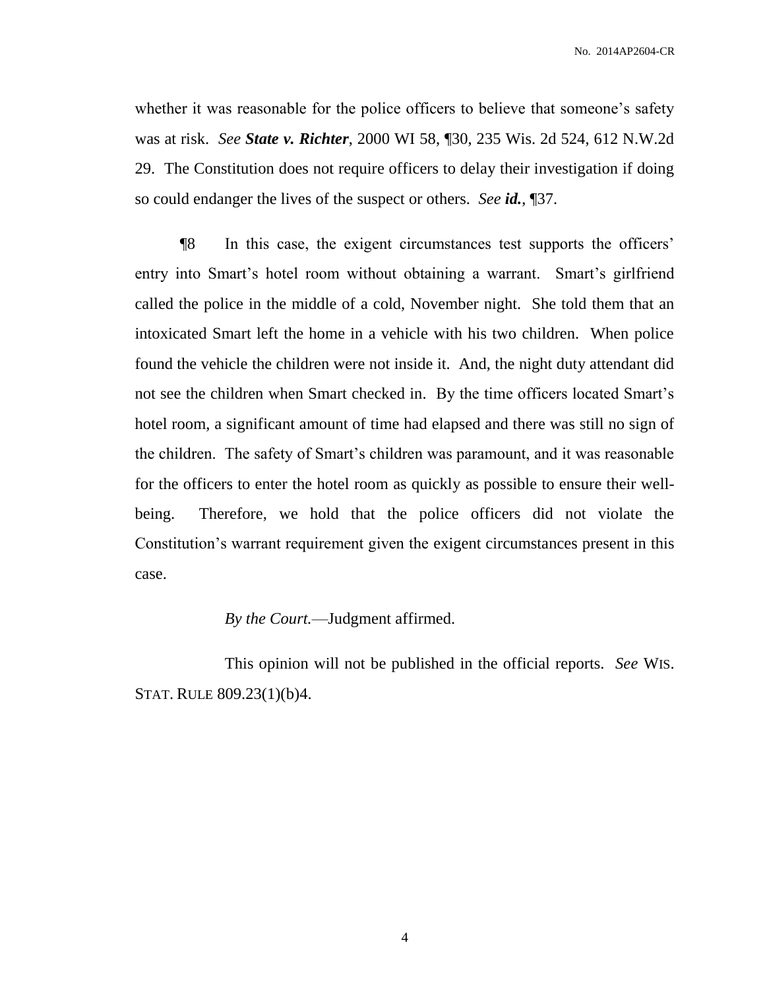No. 2014AP2604-CR

whether it was reasonable for the police officers to believe that someone's safety was at risk. *See State v. Richter*, 2000 WI 58, ¶30, 235 Wis. 2d 524, 612 N.W.2d 29. The Constitution does not require officers to delay their investigation if doing so could endanger the lives of the suspect or others. *See id.*, ¶37.

¶8 In this case, the exigent circumstances test supports the officers' entry into Smart's hotel room without obtaining a warrant. Smart's girlfriend called the police in the middle of a cold, November night. She told them that an intoxicated Smart left the home in a vehicle with his two children. When police found the vehicle the children were not inside it. And, the night duty attendant did not see the children when Smart checked in. By the time officers located Smart's hotel room, a significant amount of time had elapsed and there was still no sign of the children. The safety of Smart's children was paramount, and it was reasonable for the officers to enter the hotel room as quickly as possible to ensure their wellbeing. Therefore, we hold that the police officers did not violate the Constitution's warrant requirement given the exigent circumstances present in this case.

*By the Court.*—Judgment affirmed.

This opinion will not be published in the official reports. *See* WIS. STAT. RULE 809.23(1)(b)4.

4